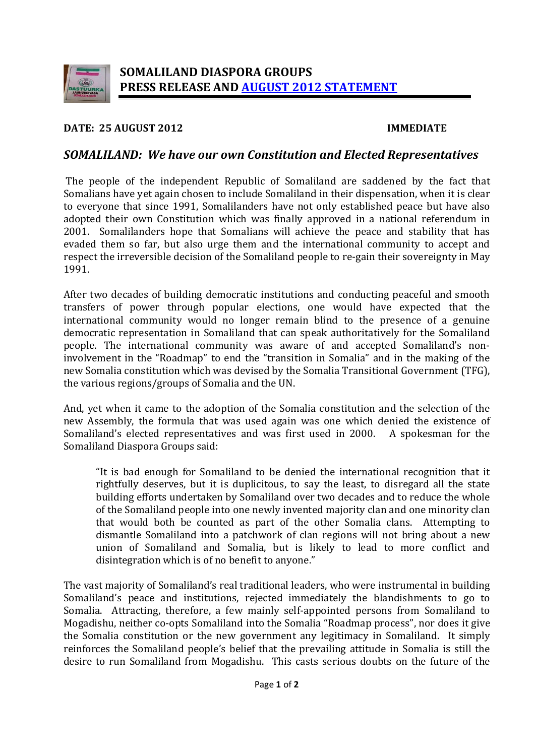

#### **DATE: 25 AUGUST 2012 IMMEDIATE**

# *SOMALILAND: We have our own Constitution and Elected Representatives*

The people of the independent Republic of Somaliland are saddened by the fact that Somalians have yet again chosen to include Somaliland in their dispensation, when it is clear to everyone that since 1991, Somalilanders have not only established peace but have also adopted their own Constitution which was finally approved in a national referendum in 2001. Somalilanders hope that Somalians will achieve the peace and stability that has evaded them so far, but also urge them and the international community to accept and respect the irreversible decision of the Somaliland people to re-gain their sovereignty in May 1991.

After two decades of building democratic institutions and conducting peaceful and smooth transfers of power through popular elections, one would have expected that the international community would no longer remain blind to the presence of a genuine democratic representation in Somaliland that can speak authoritatively for the Somaliland people. The international community was aware of and accepted Somaliland's noninvolvement in the "Roadmap" to end the "transition in Somalia" and in the making of the new Somalia constitution which was devised by the Somalia Transitional Government (TFG), the various regions/groups of Somalia and the UN.

And, yet when it came to the adoption of the Somalia constitution and the selection of the new Assembly, the formula that was used again was one which denied the existence of Somaliland's elected representatives and was first used in 2000. A spokesman for the Somaliland's elected representatives and was first used in 2000. Somaliland Diaspora Groups said:

"It is bad enough for Somaliland to be denied the international recognition that it rightfully deserves, but it is duplicitous, to say the least, to disregard all the state building efforts undertaken by Somaliland over two decades and to reduce the whole of the Somaliland people into one newly invented majority clan and one minority clan that would both be counted as part of the other Somalia clans. Attempting to dismantle Somaliland into a patchwork of clan regions will not bring about a new union of Somaliland and Somalia, but is likely to lead to more conflict and disintegration which is of no benefit to anyone."

The vast majority of Somaliland's real traditional leaders, who were instrumental in building Somaliland's peace and institutions, rejected immediately the blandishments to go to Somalia. Attracting, therefore, a few mainly self-appointed persons from Somaliland to Mogadishu, neither co-opts Somaliland into the Somalia "Roadmap process", nor does it give the Somalia constitution or the new government any legitimacy in Somaliland. It simply reinforces the Somaliland people's belief that the prevailing attitude in Somalia is still the desire to run Somaliland from Mogadishu. This casts serious doubts on the future of the